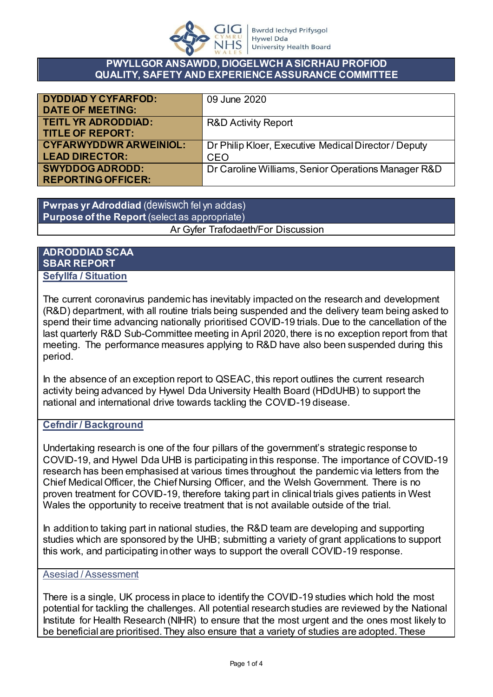

#### **PWYLLGOR ANSAWDD, DIOGELWCH A SICRHAU PROFIOD QUALITY, SAFETY AND EXPERIENCE ASSURANCE COMMITTEE**

| <b>DYDDIAD Y CYFARFOD:</b>    | 09 June 2020                                         |
|-------------------------------|------------------------------------------------------|
| <b>DATE OF MEETING:</b>       |                                                      |
| <b>TEITL YR ADRODDIAD:</b>    | <b>R&amp;D Activity Report</b>                       |
| <b>TITLE OF REPORT:</b>       |                                                      |
| <b>CYFARWYDDWR ARWEINIOL:</b> | Dr Philip Kloer, Executive Medical Director / Deputy |
| <b>LEAD DIRECTOR:</b>         | CEO                                                  |
| <b>SWYDDOG ADRODD:</b>        | Dr Caroline Williams, Senior Operations Manager R&D  |
| <b>REPORTING OFFICER:</b>     |                                                      |

**Pwrpas yr Adroddiad** (dewiswch fel yn addas) **Purpose of the Report** (select as appropriate) Ar Gyfer Trafodaeth/For Discussion

**ADRODDIAD SCAA SBAR REPORT**

# **Sefyllfa / Situation**

The current coronavirus pandemic has inevitably impacted on the research and development (R&D) department, with all routine trials being suspended and the delivery team being asked to spend their time advancing nationally prioritised COVID-19 trials. Due to the cancellation of the last quarterly R&D Sub-Committee meeting in April 2020, there is no exception report from that meeting. The performance measures applying to R&D have also been suspended during this period.

In the absence of an exception report to QSEAC, this report outlines the current research activity being advanced by Hywel Dda University Health Board (HDdUHB) to support the national and international drive towards tackling the COVID-19 disease.

# **Cefndir / Background**

Undertaking research is one of the four pillars of the government's strategic response to COVID-19, and Hywel Dda UHB is participating in this response. The importance of COVID-19 research has been emphasised at various times throughout the pandemic via letters from the Chief Medical Officer, the Chief Nursing Officer, and the Welsh Government. There is no proven treatment for COVID-19, therefore taking part in clinical trials gives patients in West Wales the opportunity to receive treatment that is not available outside of the trial.

In addition to taking part in national studies, the R&D team are developing and supporting studies which are sponsored by the UHB; submitting a variety of grant applications to support this work, and participating in other ways to support the overall COVID-19 response.

### Asesiad / Assessment

There is a single, UK process in place to identify the COVID-19 studies which hold the most potential for tackling the challenges. All potential research studies are reviewed by the National Institute for Health Research (NIHR) to ensure that the most urgent and the ones most likely to be beneficial are prioritised. They also ensure that a variety of studies are adopted. These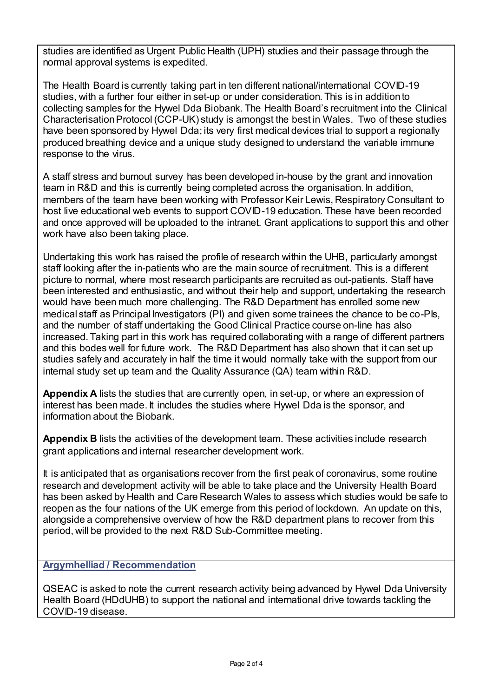studies are identified as Urgent Public Health (UPH) studies and their passage through the normal approval systems is expedited.

The Health Board is currently taking part in ten different national/international COVID-19 studies, with a further four either in set-up or under consideration. This is in addition to collecting samples for the Hywel Dda Biobank. The Health Board's recruitment into the Clinical Characterisation Protocol (CCP-UK) study is amongst the best in Wales. Two of these studies have been sponsored by Hywel Dda; its very first medical devices trial to support a regionally produced breathing device and a unique study designed to understand the variable immune response to the virus.

A staff stress and burnout survey has been developed in-house by the grant and innovation team in R&D and this is currently being completed across the organisation. In addition, members of the team have been working with Professor Keir Lewis, Respiratory Consultant to host live educational web events to support COVID-19 education. These have been recorded and once approved will be uploaded to the intranet. Grant applications to support this and other work have also been taking place.

Undertaking this work has raised the profile of research within the UHB, particularly amongst staff looking after the in-patients who are the main source of recruitment. This is a different picture to normal, where most research participants are recruited as out-patients. Staff have been interested and enthusiastic, and without their help and support, undertaking the research would have been much more challenging. The R&D Department has enrolled some new medical staff as Principal Investigators (PI) and given some trainees the chance to be co-PIs, and the number of staff undertaking the Good Clinical Practice course on-line has also increased. Taking part in this work has required collaborating with a range of different partners and this bodes well for future work. The R&D Department has also shown that it can set up studies safely and accurately in half the time it would normally take with the support from our internal study set up team and the Quality Assurance (QA) team within R&D.

**Appendix A** lists the studies that are currently open, in set-up, or where an expression of interest has been made. It includes the studies where Hywel Dda is the sponsor, and information about the Biobank.

**Appendix B** lists the activities of the development team. These activities include research grant applications and internal researcher development work.

It is anticipated that as organisations recover from the first peak of coronavirus, some routine research and development activity will be able to take place and the University Health Board has been asked by Health and Care Research Wales to assess which studies would be safe to reopen as the four nations of the UK emerge from this period of lockdown. An update on this, alongside a comprehensive overview of how the R&D department plans to recover from this period, will be provided to the next R&D Sub-Committee meeting.

# **Argymhelliad / Recommendation**

QSEAC is asked to note the current research activity being advanced by Hywel Dda University Health Board (HDdUHB) to support the national and international drive towards tackling the COVID-19 disease.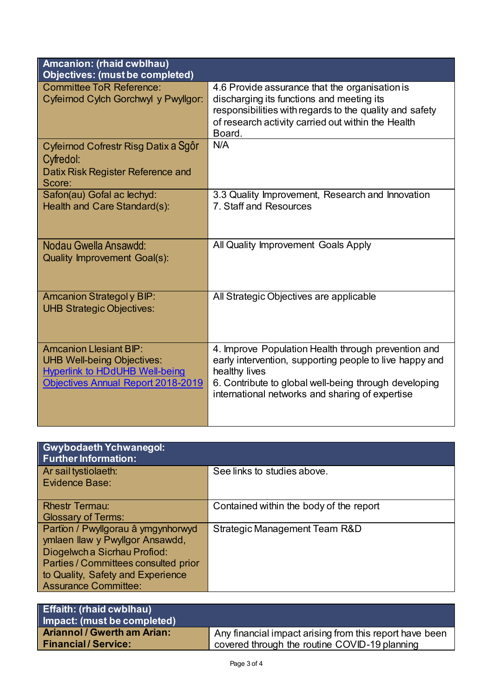| Amcanion: (rhaid cwblhau)<br><b>Objectives: (must be completed)</b>                                                                                      |                                                                                                                                                                                                                                             |  |
|----------------------------------------------------------------------------------------------------------------------------------------------------------|---------------------------------------------------------------------------------------------------------------------------------------------------------------------------------------------------------------------------------------------|--|
| <b>Committee ToR Reference:</b><br>Cyfeirnod Cylch Gorchwyl y Pwyllgor:                                                                                  | 4.6 Provide assurance that the organisation is<br>discharging its functions and meeting its<br>responsibilities with regards to the quality and safety<br>of research activity carried out within the Health<br>Board.                      |  |
| Cyfeirnod Cofrestr Risg Datix a Sgôr<br>Cyfredol:<br>Datix Risk Register Reference and<br>Score:                                                         | N/A                                                                                                                                                                                                                                         |  |
| Safon(au) Gofal ac lechyd:<br>Health and Care Standard(s):                                                                                               | 3.3 Quality Improvement, Research and Innovation<br>7. Staff and Resources                                                                                                                                                                  |  |
| Nodau Gwella Ansawdd:<br><b>Quality Improvement Goal(s):</b>                                                                                             | All Quality Improvement Goals Apply                                                                                                                                                                                                         |  |
| <b>Amcanion Strategoly BIP:</b><br><b>UHB Strategic Objectives:</b>                                                                                      | All Strategic Objectives are applicable                                                                                                                                                                                                     |  |
| <b>Amcanion Llesiant BIP:</b><br><b>UHB Well-being Objectives:</b><br><b>Hyperlink to HDdUHB Well-being</b><br><b>Objectives Annual Report 2018-2019</b> | 4. Improve Population Health through prevention and<br>early intervention, supporting people to live happy and<br>healthy lives<br>6. Contribute to global well-being through developing<br>international networks and sharing of expertise |  |

| <b>Gwybodaeth Ychwanegol:</b><br><b>Further Information:</b>          |                                         |
|-----------------------------------------------------------------------|-----------------------------------------|
| Ar sail tystiolaeth:                                                  | See links to studies above.             |
| Evidence Base:                                                        |                                         |
| <b>Rhestr Termau:</b>                                                 | Contained within the body of the report |
| <b>Glossary of Terms:</b>                                             |                                         |
| Partïon / Pwyllgorau â ymgynhorwyd<br>ymlaen llaw y Pwyllgor Ansawdd, | Strategic Management Team R&D           |
| Diogelwch a Sicrhau Profiod:                                          |                                         |
| Parties / Committees consulted prior                                  |                                         |
| to Quality, Safety and Experience                                     |                                         |
| <b>Assurance Committee:</b>                                           |                                         |

| <b>Effaith: (rhaid cwblhau)</b>    |                                                         |
|------------------------------------|---------------------------------------------------------|
| Impact: (must be completed)        |                                                         |
| <b>Ariannol / Gwerth am Arian:</b> | Any financial impact arising from this report have been |
| <b>Financial/Service:</b>          | covered through the routine COVID-19 planning           |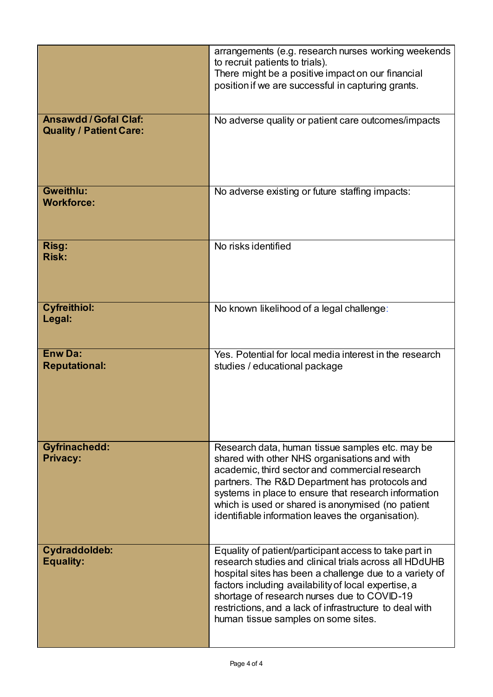|                                                              | arrangements (e.g. research nurses working weekends<br>to recruit patients to trials).<br>There might be a positive impact on our financial<br>position if we are successful in capturing grants.                                                                                                                                                                                    |
|--------------------------------------------------------------|--------------------------------------------------------------------------------------------------------------------------------------------------------------------------------------------------------------------------------------------------------------------------------------------------------------------------------------------------------------------------------------|
| <b>Ansawdd/Gofal Claf:</b><br><b>Quality / Patient Care:</b> | No adverse quality or patient care outcomes/impacts                                                                                                                                                                                                                                                                                                                                  |
| Gweithlu:<br><b>Workforce:</b>                               | No adverse existing or future staffing impacts:                                                                                                                                                                                                                                                                                                                                      |
| Risg:<br><b>Risk:</b>                                        | No risks identified                                                                                                                                                                                                                                                                                                                                                                  |
| <b>Cyfreithiol:</b><br>Legal:                                | No known likelihood of a legal challenge:                                                                                                                                                                                                                                                                                                                                            |
| <b>Enw Da:</b><br><b>Reputational:</b>                       | Yes. Potential for local media interest in the research<br>studies / educational package                                                                                                                                                                                                                                                                                             |
| <b>Gyfrinachedd:</b><br><b>Privacy:</b>                      | Research data, human tissue samples etc. may be<br>shared with other NHS organisations and with<br>academic, third sector and commercial research<br>partners. The R&D Department has protocols and<br>systems in place to ensure that research information<br>which is used or shared is anonymised (no patient<br>identifiable information leaves the organisation).               |
| Cydraddoldeb:<br><b>Equality:</b>                            | Equality of patient/participant access to take part in<br>research studies and clinical trials across all HDdUHB<br>hospital sites has been a challenge due to a variety of<br>factors including availability of local expertise, a<br>shortage of research nurses due to COVID-19<br>restrictions, and a lack of infrastructure to deal with<br>human tissue samples on some sites. |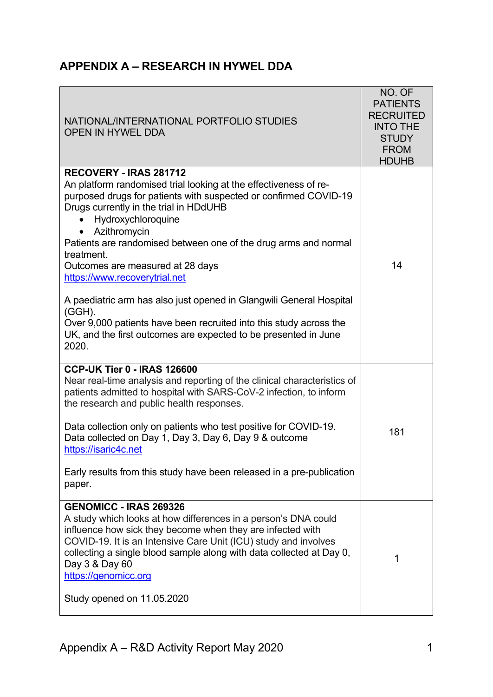|--|

| NATIONAL/INTERNATIONAL PORTFOLIO STUDIES<br><b>OPEN IN HYWEL DDA</b>                                                                                                                                                                                                                                                                                                                                                                                                                                                                                                                                                                       | NO. OF<br><b>PATIENTS</b><br><b>RECRUITED</b><br><b>INTO THE</b><br><b>STUDY</b><br><b>FROM</b><br><b>HDUHB</b> |
|--------------------------------------------------------------------------------------------------------------------------------------------------------------------------------------------------------------------------------------------------------------------------------------------------------------------------------------------------------------------------------------------------------------------------------------------------------------------------------------------------------------------------------------------------------------------------------------------------------------------------------------------|-----------------------------------------------------------------------------------------------------------------|
| RECOVERY - IRAS 281712<br>An platform randomised trial looking at the effectiveness of re-<br>purposed drugs for patients with suspected or confirmed COVID-19<br>Drugs currently in the trial in HDdUHB<br>Hydroxychloroquine<br>Azithromycin<br>Patients are randomised between one of the drug arms and normal<br>treatment.<br>Outcomes are measured at 28 days<br>https://www.recoverytrial.net<br>A paediatric arm has also just opened in Glangwili General Hospital<br>$(GGH)$ .<br>Over 9,000 patients have been recruited into this study across the<br>UK, and the first outcomes are expected to be presented in June<br>2020. | 14                                                                                                              |
| <b>CCP-UK Tier 0 - IRAS 126600</b><br>Near real-time analysis and reporting of the clinical characteristics of<br>patients admitted to hospital with SARS-CoV-2 infection, to inform<br>the research and public health responses.<br>Data collection only on patients who test positive for COVID-19.<br>Data collected on Day 1, Day 3, Day 6, Day 9 & outcome<br>https://isaric4c.net<br>Early results from this study have been released in a pre-publication<br>paper.                                                                                                                                                                 | 181                                                                                                             |
| <b>GENOMICC - IRAS 269326</b><br>A study which looks at how differences in a person's DNA could<br>influence how sick they become when they are infected with<br>COVID-19. It is an Intensive Care Unit (ICU) study and involves<br>collecting a single blood sample along with data collected at Day 0,<br>Day 3 & Day 60<br>https://genomicc.org<br>Study opened on 11.05.2020                                                                                                                                                                                                                                                           | 1                                                                                                               |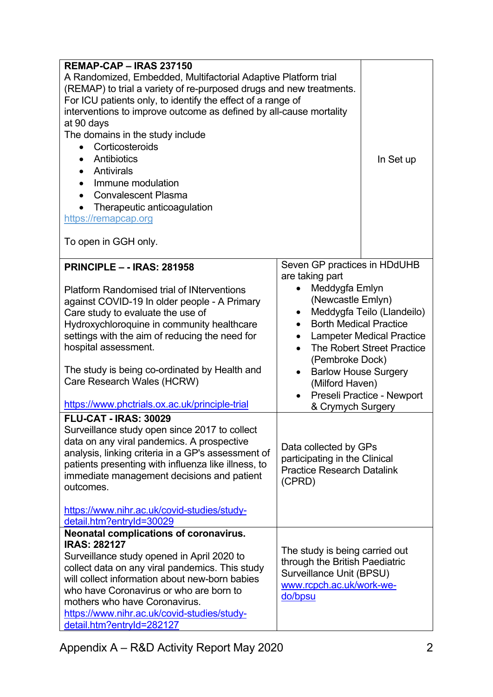| <b>REMAP-CAP - IRAS 237150</b>                                      |                                                            |                                  |
|---------------------------------------------------------------------|------------------------------------------------------------|----------------------------------|
| A Randomized, Embedded, Multifactorial Adaptive Platform trial      |                                                            |                                  |
| (REMAP) to trial a variety of re-purposed drugs and new treatments. |                                                            |                                  |
| For ICU patients only, to identify the effect of a range of         |                                                            |                                  |
| interventions to improve outcome as defined by all-cause mortality  |                                                            |                                  |
| at 90 days                                                          |                                                            |                                  |
| The domains in the study include                                    |                                                            |                                  |
| Corticosteroids<br>$\bullet$                                        |                                                            |                                  |
| Antibiotics                                                         |                                                            | In Set up                        |
| Antivirals<br>$\bullet$                                             |                                                            |                                  |
| Immune modulation                                                   |                                                            |                                  |
| <b>Convalescent Plasma</b>                                          |                                                            |                                  |
| Therapeutic anticoagulation                                         |                                                            |                                  |
| https://remapcap.org                                                |                                                            |                                  |
|                                                                     |                                                            |                                  |
| To open in GGH only.                                                |                                                            |                                  |
|                                                                     |                                                            |                                  |
| <b>PRINCIPLE - - IRAS: 281958</b>                                   | Seven GP practices in HDdUHB                               |                                  |
|                                                                     | are taking part                                            |                                  |
| <b>Platform Randomised trial of INterventions</b>                   | Meddygfa Emlyn                                             |                                  |
| against COVID-19 In older people - A Primary                        | (Newcastle Emlyn)                                          |                                  |
| Care study to evaluate the use of                                   | $\bullet$                                                  | Meddygfa Teilo (Llandeilo)       |
| Hydroxychloroquine in community healthcare                          | <b>Borth Medical Practice</b>                              |                                  |
| settings with the aim of reducing the need for                      | $\bullet$                                                  | <b>Lampeter Medical Practice</b> |
| hospital assessment.                                                | $\bullet$                                                  | The Robert Street Practice       |
|                                                                     | (Pembroke Dock)                                            |                                  |
| The study is being co-ordinated by Health and                       | <b>Barlow House Surgery</b><br>$\bullet$                   |                                  |
| Care Research Wales (HCRW)                                          | (Milford Haven)                                            |                                  |
|                                                                     | $\bullet$                                                  | Preseli Practice - Newport       |
| https://www.phctrials.ox.ac.uk/principle-trial                      | & Crymych Surgery                                          |                                  |
| <b>FLU-CAT - IRAS: 30029</b>                                        |                                                            |                                  |
| Surveillance study open since 2017 to collect                       |                                                            |                                  |
| data on any viral pandemics. A prospective                          |                                                            |                                  |
| analysis, linking criteria in a GP's assessment of                  | Data collected by GPs                                      |                                  |
| patients presenting with influenza like illness, to                 | participating in the Clinical                              |                                  |
| immediate management decisions and patient                          | <b>Practice Research Datalink</b>                          |                                  |
| outcomes.                                                           | (CPRD)                                                     |                                  |
|                                                                     |                                                            |                                  |
| https://www.nihr.ac.uk/covid-studies/study-                         |                                                            |                                  |
| detail.htm?entryId=30029                                            |                                                            |                                  |
| Neonatal complications of coronavirus.                              |                                                            |                                  |
| <b>IRAS: 282127</b>                                                 |                                                            |                                  |
| Surveillance study opened in April 2020 to                          | The study is being carried out                             |                                  |
| collect data on any viral pandemics. This study                     | through the British Paediatric<br>Surveillance Unit (BPSU) |                                  |
| will collect information about new-born babies                      | www.rcpch.ac.uk/work-we-                                   |                                  |
| who have Coronavirus or who are born to                             | do/bpsu                                                    |                                  |
| mothers who have Coronavirus.                                       |                                                            |                                  |
| https://www.nihr.ac.uk/covid-studies/study-                         |                                                            |                                  |
| detail.htm?entryId=282127                                           |                                                            |                                  |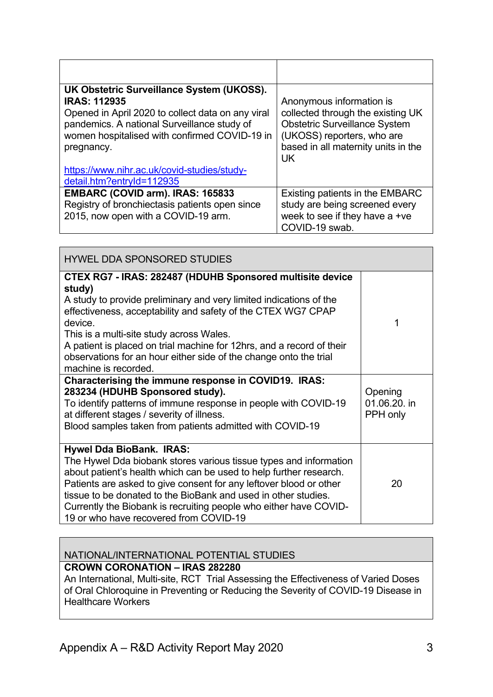| UK Obstetric Surveillance System (UKOSS).<br><b>IRAS: 112935</b><br>Opened in April 2020 to collect data on any viral<br>pandemics. A national Surveillance study of<br>women hospitalised with confirmed COVID-19 in<br>pregnancy. | Anonymous information is<br>collected through the existing UK<br><b>Obstetric Surveillance System</b><br>(UKOSS) reporters, who are<br>based in all maternity units in the<br>UK |
|-------------------------------------------------------------------------------------------------------------------------------------------------------------------------------------------------------------------------------------|----------------------------------------------------------------------------------------------------------------------------------------------------------------------------------|
| https://www.nihr.ac.uk/covid-studies/study-<br>detail.htm?entryId=112935                                                                                                                                                            |                                                                                                                                                                                  |
| EMBARC (COVID arm). IRAS: 165833<br>Registry of bronchiectasis patients open since<br>2015, now open with a COVID-19 arm.                                                                                                           | Existing patients in the EMBARC<br>study are being screened every<br>week to see if they have a +ve<br>COVID-19 swab.                                                            |

| <b>HYWEL DDA SPONSORED STUDIES</b>                                                                                                                                                                                                                                                                                                                                                                                                     |                                     |
|----------------------------------------------------------------------------------------------------------------------------------------------------------------------------------------------------------------------------------------------------------------------------------------------------------------------------------------------------------------------------------------------------------------------------------------|-------------------------------------|
| CTEX RG7 - IRAS: 282487 (HDUHB Sponsored multisite device<br>study)<br>A study to provide preliminary and very limited indications of the<br>effectiveness, acceptability and safety of the CTEX WG7 CPAP<br>device.<br>This is a multi-site study across Wales.<br>A patient is placed on trial machine for 12hrs, and a record of their<br>observations for an hour either side of the change onto the trial<br>machine is recorded. | 1                                   |
| Characterising the immune response in COVID19. IRAS:<br>283234 (HDUHB Sponsored study).<br>To identify patterns of immune response in people with COVID-19<br>at different stages / severity of illness.<br>Blood samples taken from patients admitted with COVID-19                                                                                                                                                                   | Opening<br>01.06.20. in<br>PPH only |
| <b>Hywel Dda BioBank. IRAS:</b><br>The Hywel Dda biobank stores various tissue types and information<br>about patient's health which can be used to help further research.<br>Patients are asked to give consent for any leftover blood or other<br>tissue to be donated to the BioBank and used in other studies.<br>Currently the Biobank is recruiting people who either have COVID-<br>19 or who have recovered from COVID-19      | 20                                  |

#### NATIONAL/INTERNATIONAL POTENTIAL STUDIES **CROWN CORONATION – IRAS 282280**

An International, Multi-site, RCT Trial Assessing the Effectiveness of Varied Doses

of Oral Chloroquine in Preventing or Reducing the Severity of COVID-19 Disease in Healthcare Workers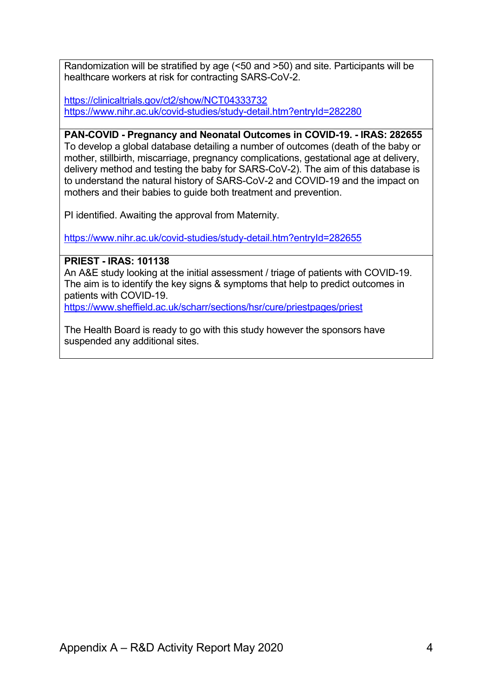Randomization will be stratified by age (<50 and >50) and site. Participants will be healthcare workers at risk for contracting SARS-CoV-2.

https://clinicaltrials.gov/ct2/show/NCT04333732 https://www.nihr.ac.uk/covid-studies/study-detail.htm?entryId=282280

**PAN-COVID - Pregnancy and Neonatal Outcomes in COVID-19. - IRAS: 282655** To develop a global database detailing a number of outcomes (death of the baby or mother, stillbirth, miscarriage, pregnancy complications, gestational age at delivery, delivery method and testing the baby for SARS-CoV-2). The aim of this database is to understand the natural history of SARS-CoV-2 and COVID-19 and the impact on mothers and their babies to guide both treatment and prevention.

PI identified. Awaiting the approval from Maternity.

https://www.nihr.ac.uk/covid-studies/study-detail.htm?entryId=282655

**PRIEST - IRAS: 101138** An A&E study looking at the initial assessment / triage of patients with COVID-19. The aim is to identify the key signs & symptoms that help to predict outcomes in patients with COVID-19. https://www.sheffield.ac.uk/scharr/sections/hsr/cure/priestpages/priest

The Health Board is ready to go with this study however the sponsors have suspended any additional sites.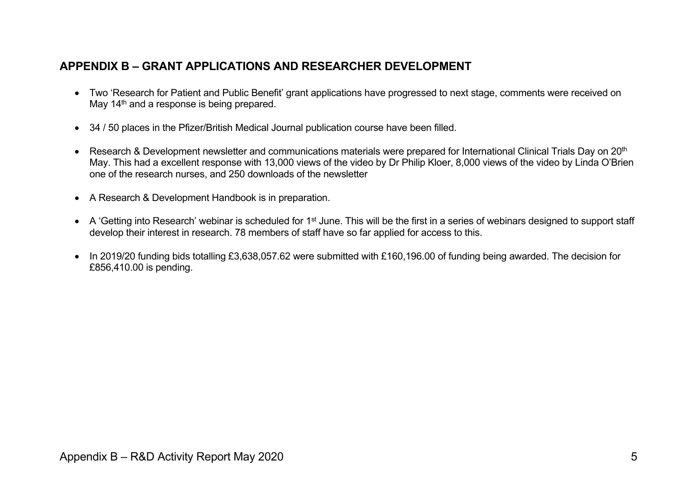# **APPENDIX B – GRANT APPLICATIONS AND RESEARCHER DEVELOPMENT**

- Two 'Research for Patient and Public Benefit' grant applications have progressed to next stage, comments were received on May 14<sup>th</sup> and a response is being prepared.
- 34 / 50 places in the Pfizer/British Medical Journal publication course have been filled.
- Research & Development newsletter and communications materials were prepared for International Clinical Trials Day on 20<sup>th</sup> May. This had a excellent response with 13,000 views of the video by Dr Philip Kloer, 8,000 views of the video by Linda O'Brien one of the research nurses, and 250 downloads of the newsletter
- A Research & Development Handbook is in preparation.
- A 'Getting into Research' webinar is scheduled for 1<sup>st</sup> June. This will be the first in a series of webinars designed to support staff develop their interest in research. 78 members of staff have so far applied for access to this.
- In 2019/20 funding bids totalling £3,638,057.62 were submitted with £160,196.00 of funding being awarded. The decision for £856,410.00 is pending.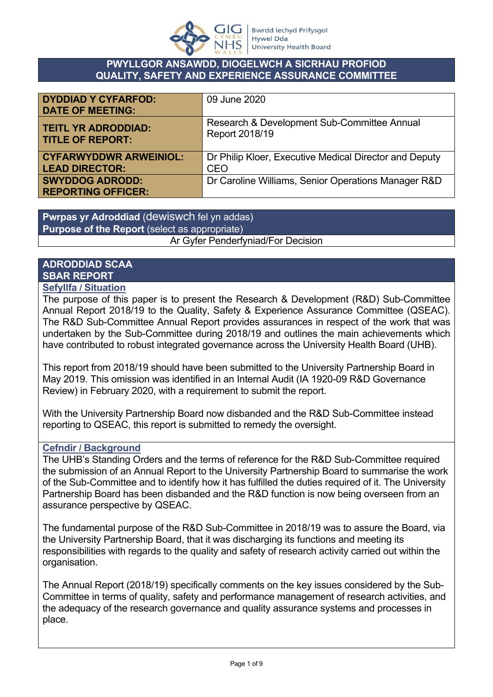

### **PWYLLGOR ANSAWDD, DIOGELWCH A SICRHAU PROFIOD QUALITY, SAFETY AND EXPERIENCE ASSURANCE COMMITTEE**

| <b>DYDDIAD Y CYFARFOD:</b><br><b>DATE OF MEETING:</b> | 09 June 2020                                           |
|-------------------------------------------------------|--------------------------------------------------------|
| <b>TEITL YR ADRODDIAD:</b>                            | Research & Development Sub-Committee Annual            |
| <b>TITLE OF REPORT:</b>                               | Report 2018/19                                         |
| <b>CYFARWYDDWR ARWEINIOL:</b>                         | Dr Philip Kloer, Executive Medical Director and Deputy |
| <b>LEAD DIRECTOR:</b>                                 | <b>CEO</b>                                             |
| <b>SWYDDOG ADRODD:</b><br><b>REPORTING OFFICER:</b>   | Dr Caroline Williams, Senior Operations Manager R&D    |

**Pwrpas yr Adroddiad** (dewiswch fel yn addas) **Purpose of the Report** (select as appropriate) Ar Gyfer Penderfyniad/For Decision

#### **ADRODDIAD SCAA SBAR REPORT Sefyllfa / Situation**

The purpose of this paper is to present the Research & Development (R&D) Sub-Committee Annual Report 2018/19 to the Quality, Safety & Experience Assurance Committee (QSEAC). The R&D Sub-Committee Annual Report provides assurances in respect of the work that was undertaken by the Sub-Committee during 2018/19 and outlines the main achievements which have contributed to robust integrated governance across the University Health Board (UHB).

This report from 2018/19 should have been submitted to the University Partnership Board in May 2019. This omission was identified in an Internal Audit (IA 1920-09 R&D Governance Review) in February 2020, with a requirement to submit the report.

With the University Partnership Board now disbanded and the R&D Sub-Committee instead reporting to QSEAC, this report is submitted to remedy the oversight.

# **Cefndir / Background**

The UHB's Standing Orders and the terms of reference for the R&D Sub-Committee required the submission of an Annual Report to the University Partnership Board to summarise the work of the Sub-Committee and to identify how it has fulfilled the duties required of it. The University Partnership Board has been disbanded and the R&D function is now being overseen from an assurance perspective by QSEAC.

The fundamental purpose of the R&D Sub-Committee in 2018/19 was to assure the Board, via the University Partnership Board, that it was discharging its functions and meeting its responsibilities with regards to the quality and safety of research activity carried out within the organisation.

The Annual Report (2018/19) specifically comments on the key issues considered by the Sub-Committee in terms of quality, safety and performance management of research activities, and the adequacy of the research governance and quality assurance systems and processes in place.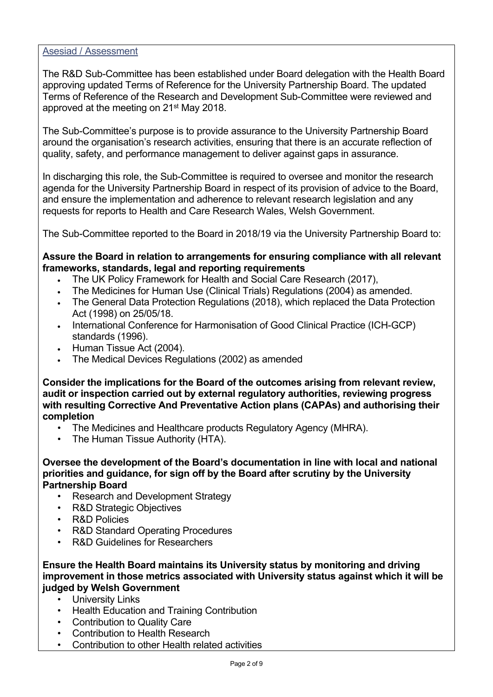#### Asesiad / Assessment

The R&D Sub-Committee has been established under Board delegation with the Health Board approving updated Terms of Reference for the University Partnership Board. The updated Terms of Reference of the Research and Development Sub-Committee were reviewed and approved at the meeting on 21st May 2018.

The Sub-Committee's purpose is to provide assurance to the University Partnership Board around the organisation's research activities, ensuring that there is an accurate reflection of quality, safety, and performance management to deliver against gaps in assurance.

In discharging this role, the Sub-Committee is required to oversee and monitor the research agenda for the University Partnership Board in respect of its provision of advice to the Board, and ensure the implementation and adherence to relevant research legislation and any requests for reports to Health and Care Research Wales, Welsh Government.

The Sub-Committee reported to the Board in 2018/19 via the University Partnership Board to:

### **Assure the Board in relation to arrangements for ensuring compliance with all relevant frameworks, standards, legal and reporting requirements**

- The UK Policy Framework for Health and Social Care Research (2017),
- The Medicines for Human Use (Clinical Trials) Regulations (2004) as amended.
- The General Data Protection Regulations (2018), which replaced the Data Protection Act (1998) on 25/05/18.
- International Conference for Harmonisation of Good Clinical Practice (ICH-GCP) standards (1996).
- Human Tissue Act (2004).
- The Medical Devices Regulations (2002) as amended

**Consider the implications for the Board of the outcomes arising from relevant review, audit or inspection carried out by external regulatory authorities, reviewing progress with resulting Corrective And Preventative Action plans (CAPAs) and authorising their completion**

- The Medicines and Healthcare products Regulatory Agency (MHRA).
- The Human Tissue Authority (HTA).

**Oversee the development of the Board's documentation in line with local and national priorities and guidance, for sign off by the Board after scrutiny by the University Partnership Board**

- Research and Development Strategy
- R&D Strategic Objectives
- R&D Policies
- R&D Standard Operating Procedures
- R&D Guidelines for Researchers

**Ensure the Health Board maintains its University status by monitoring and driving improvement in those metrics associated with University status against which it will be judged by Welsh Government**

- **University Links**
- Health Education and Training Contribution
- Contribution to Quality Care
- Contribution to Health Research
- Contribution to other Health related activities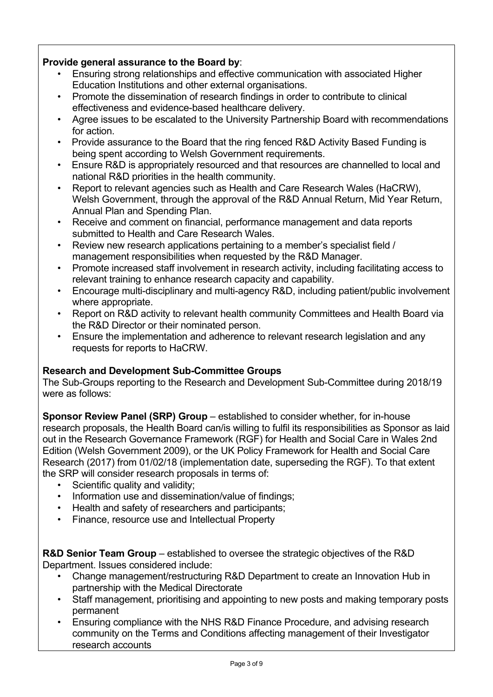# **Provide general assurance to the Board by**:

- Ensuring strong relationships and effective communication with associated Higher Education Institutions and other external organisations.
- Promote the dissemination of research findings in order to contribute to clinical effectiveness and evidence-based healthcare delivery.
- Agree issues to be escalated to the University Partnership Board with recommendations for action.
- Provide assurance to the Board that the ring fenced R&D Activity Based Funding is being spent according to Welsh Government requirements.
- Ensure R&D is appropriately resourced and that resources are channelled to local and national R&D priorities in the health community.
- Report to relevant agencies such as Health and Care Research Wales (HaCRW), Welsh Government, through the approval of the R&D Annual Return, Mid Year Return, Annual Plan and Spending Plan.
- Receive and comment on financial, performance management and data reports submitted to Health and Care Research Wales.
- Review new research applications pertaining to a member's specialist field / management responsibilities when requested by the R&D Manager.
- Promote increased staff involvement in research activity, including facilitating access to relevant training to enhance research capacity and capability.
- Encourage multi-disciplinary and multi-agency R&D, including patient/public involvement where appropriate.
- Report on R&D activity to relevant health community Committees and Health Board via the R&D Director or their nominated person.
- Ensure the implementation and adherence to relevant research legislation and any requests for reports to HaCRW.

# **Research and Development Sub-Committee Groups**

The Sub-Groups reporting to the Research and Development Sub-Committee during 2018/19 were as follows:

**Sponsor Review Panel (SRP) Group** – established to consider whether, for in-house research proposals, the Health Board can/is willing to fulfil its responsibilities as Sponsor as laid out in the Research Governance Framework (RGF) for Health and Social Care in Wales 2nd Edition (Welsh Government 2009), or the UK Policy Framework for Health and Social Care Research (2017) from 01/02/18 (implementation date, superseding the RGF). To that extent the SRP will consider research proposals in terms of:

- Scientific quality and validity:
- Information use and dissemination/value of findings:
- Health and safety of researchers and participants;
- Finance, resource use and Intellectual Property

**R&D Senior Team Group** – established to oversee the strategic objectives of the R&D Department. Issues considered include:

- Change management/restructuring R&D Department to create an Innovation Hub in partnership with the Medical Directorate
- Staff management, prioritising and appointing to new posts and making temporary posts permanent
- Ensuring compliance with the NHS R&D Finance Procedure, and advising research community on the Terms and Conditions affecting management of their Investigator research accounts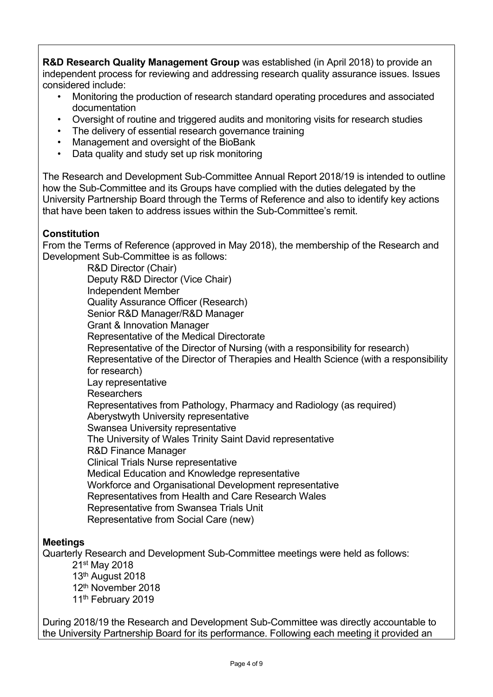**R&D Research Quality Management Group** was established (in April 2018) to provide an independent process for reviewing and addressing research quality assurance issues. Issues considered include:

- Monitoring the production of research standard operating procedures and associated documentation
- Oversight of routine and triggered audits and monitoring visits for research studies
- The delivery of essential research governance training
- Management and oversight of the BioBank
- Data quality and study set up risk monitoring

The Research and Development Sub-Committee Annual Report 2018/19 is intended to outline how the Sub-Committee and its Groups have complied with the duties delegated by the University Partnership Board through the Terms of Reference and also to identify key actions that have been taken to address issues within the Sub-Committee's remit.

### **Constitution**

From the Terms of Reference (approved in May 2018), the membership of the Research and Development Sub-Committee is as follows:

R&D Director (Chair) Deputy R&D Director (Vice Chair) Independent Member Quality Assurance Officer (Research) Senior R&D Manager/R&D Manager Grant & Innovation Manager Representative of the Medical Directorate Representative of the Director of Nursing (with a responsibility for research) Representative of the Director of Therapies and Health Science (with a responsibility for research) Lay representative **Researchers** Representatives from Pathology, Pharmacy and Radiology (as required) Aberystwyth University representative Swansea University representative The University of Wales Trinity Saint David representative R&D Finance Manager Clinical Trials Nurse representative Medical Education and Knowledge representative Workforce and Organisational Development representative Representatives from Health and Care Research Wales Representative from Swansea Trials Unit Representative from Social Care (new)

### **Meetings**

Quarterly Research and Development Sub-Committee meetings were held as follows:

st May 2018 th August 2018 th November 2018 11<sup>th</sup> February 2019

During 2018/19 the Research and Development Sub-Committee was directly accountable to the University Partnership Board for its performance. Following each meeting it provided an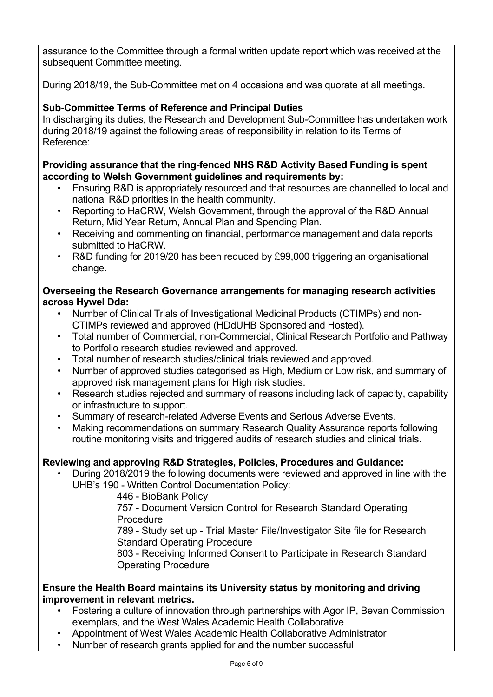assurance to the Committee through a formal written update report which was received at the subsequent Committee meeting.

During 2018/19, the Sub-Committee met on 4 occasions and was quorate at all meetings.

# **Sub-Committee Terms of Reference and Principal Duties**

In discharging its duties, the Research and Development Sub-Committee has undertaken work during 2018/19 against the following areas of responsibility in relation to its Terms of Reference:

### **Providing assurance that the ring-fenced NHS R&D Activity Based Funding is spent according to Welsh Government guidelines and requirements by:**

- Ensuring R&D is appropriately resourced and that resources are channelled to local and national R&D priorities in the health community.
- Reporting to HaCRW, Welsh Government, through the approval of the R&D Annual Return, Mid Year Return, Annual Plan and Spending Plan.
- Receiving and commenting on financial, performance management and data reports submitted to HaCRW.
- R&D funding for 2019/20 has been reduced by £99,000 triggering an organisational change.

### **Overseeing the Research Governance arrangements for managing research activities across Hywel Dda:**

- Number of Clinical Trials of Investigational Medicinal Products (CTIMPs) and non-CTIMPs reviewed and approved (HDdUHB Sponsored and Hosted).
- Total number of Commercial, non-Commercial, Clinical Research Portfolio and Pathway to Portfolio research studies reviewed and approved.
- Total number of research studies/clinical trials reviewed and approved.
- Number of approved studies categorised as High, Medium or Low risk, and summary of approved risk management plans for High risk studies.
- Research studies rejected and summary of reasons including lack of capacity, capability or infrastructure to support.
- Summary of research-related Adverse Events and Serious Adverse Events.
- Making recommendations on summary Research Quality Assurance reports following routine monitoring visits and triggered audits of research studies and clinical trials.

# **Reviewing and approving R&D Strategies, Policies, Procedures and Guidance:**

• During 2018/2019 the following documents were reviewed and approved in line with the UHB's 190 - Written Control Documentation Policy:

446 - BioBank Policy

757 - Document Version Control for Research Standard Operating **Procedure** 

789 - Study set up - Trial Master File/Investigator Site file for Research Standard Operating Procedure

803 - Receiving Informed Consent to Participate in Research Standard Operating Procedure

### **Ensure the Health Board maintains its University status by monitoring and driving improvement in relevant metrics.**

- Fostering a culture of innovation through partnerships with Agor IP, Bevan Commission exemplars, and the West Wales Academic Health Collaborative
- Appointment of West Wales Academic Health Collaborative Administrator
- Number of research grants applied for and the number successful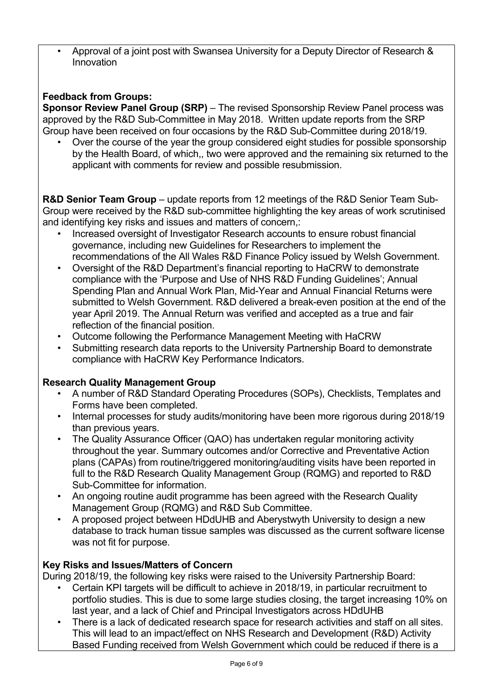• Approval of a joint post with Swansea University for a Deputy Director of Research & Innovation

# **Feedback from Groups:**

**Sponsor Review Panel Group (SRP)** – The revised Sponsorship Review Panel process was approved by the R&D Sub-Committee in May 2018. Written update reports from the SRP Group have been received on four occasions by the R&D Sub-Committee during 2018/19.

• Over the course of the year the group considered eight studies for possible sponsorship by the Health Board, of which,, two were approved and the remaining six returned to the applicant with comments for review and possible resubmission.

**R&D Senior Team Group** – update reports from 12 meetings of the R&D Senior Team Sub-Group were received by the R&D sub-committee highlighting the key areas of work scrutinised and identifying key risks and issues and matters of concern,:

- Increased oversight of Investigator Research accounts to ensure robust financial governance, including new Guidelines for Researchers to implement the recommendations of the All Wales R&D Finance Policy issued by Welsh Government.
- Oversight of the R&D Department's financial reporting to HaCRW to demonstrate compliance with the 'Purpose and Use of NHS R&D Funding Guidelines'; Annual Spending Plan and Annual Work Plan, Mid-Year and Annual Financial Returns were submitted to Welsh Government. R&D delivered a break-even position at the end of the year April 2019. The Annual Return was verified and accepted as a true and fair reflection of the financial position.
- Outcome following the Performance Management Meeting with HaCRW
- Submitting research data reports to the University Partnership Board to demonstrate compliance with HaCRW Key Performance Indicators.

# **Research Quality Management Group**

- A number of R&D Standard Operating Procedures (SOPs), Checklists, Templates and Forms have been completed.
- Internal processes for study audits/monitoring have been more rigorous during 2018/19 than previous years.
- The Quality Assurance Officer (QAO) has undertaken regular monitoring activity throughout the year. Summary outcomes and/or Corrective and Preventative Action plans (CAPAs) from routine/triggered monitoring/auditing visits have been reported in full to the R&D Research Quality Management Group (RQMG) and reported to R&D Sub-Committee for information.
- An ongoing routine audit programme has been agreed with the Research Quality Management Group (RQMG) and R&D Sub Committee.
- A proposed project between HDdUHB and Aberystwyth University to design a new database to track human tissue samples was discussed as the current software license was not fit for purpose.

# **Key Risks and Issues/Matters of Concern**

During 2018/19, the following key risks were raised to the University Partnership Board:

- Certain KPI targets will be difficult to achieve in 2018/19, in particular recruitment to portfolio studies. This is due to some large studies closing, the target increasing 10% on last year, and a lack of Chief and Principal Investigators across HDdUHB
- There is a lack of dedicated research space for research activities and staff on all sites. This will lead to an impact/effect on NHS Research and Development (R&D) Activity Based Funding received from Welsh Government which could be reduced if there is a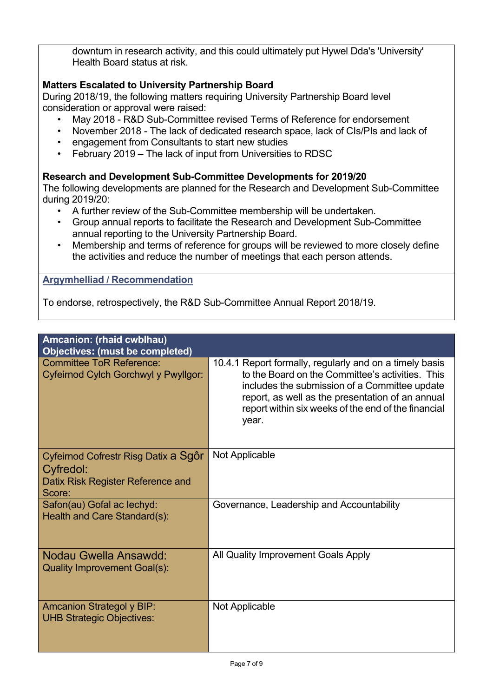downturn in research activity, and this could ultimately put Hywel Dda's 'University' Health Board status at risk.

# **Matters Escalated to University Partnership Board**

During 2018/19, the following matters requiring University Partnership Board level consideration or approval were raised:

- May 2018 R&D Sub-Committee revised Terms of Reference for endorsement
- November 2018 The lack of dedicated research space, lack of CIs/PIs and lack of
- engagement from Consultants to start new studies
- February 2019 The lack of input from Universities to RDSC

# **Research and Development Sub-Committee Developments for 2019/20**

The following developments are planned for the Research and Development Sub-Committee during 2019/20:

- A further review of the Sub-Committee membership will be undertaken.
- Group annual reports to facilitate the Research and Development Sub-Committee annual reporting to the University Partnership Board.
- Membership and terms of reference for groups will be reviewed to more closely define the activities and reduce the number of meetings that each person attends.

### **Argymhelliad / Recommendation**

To endorse, retrospectively, the R&D Sub-Committee Annual Report 2018/19.

| Amcanion: (rhaid cwblhau)<br><b>Objectives: (must be completed)</b>                              |                                                                                                                                                                                                                                                                                  |
|--------------------------------------------------------------------------------------------------|----------------------------------------------------------------------------------------------------------------------------------------------------------------------------------------------------------------------------------------------------------------------------------|
| <b>Committee ToR Reference:</b><br>Cyfeirnod Cylch Gorchwyl y Pwyllgor:                          | 10.4.1 Report formally, regularly and on a timely basis<br>to the Board on the Committee's activities. This<br>includes the submission of a Committee update<br>report, as well as the presentation of an annual<br>report within six weeks of the end of the financial<br>year. |
| Cyfeirnod Cofrestr Risg Datix a Sgôr<br>Cyfredol:<br>Datix Risk Register Reference and<br>Score: | Not Applicable                                                                                                                                                                                                                                                                   |
| Safon(au) Gofal ac lechyd:<br>Health and Care Standard(s):                                       | Governance, Leadership and Accountability                                                                                                                                                                                                                                        |
| Nodau Gwella Ansawdd:<br><b>Quality Improvement Goal(s):</b>                                     | All Quality Improvement Goals Apply                                                                                                                                                                                                                                              |
| <b>Amcanion Strategol y BIP:</b><br><b>UHB Strategic Objectives:</b>                             | Not Applicable                                                                                                                                                                                                                                                                   |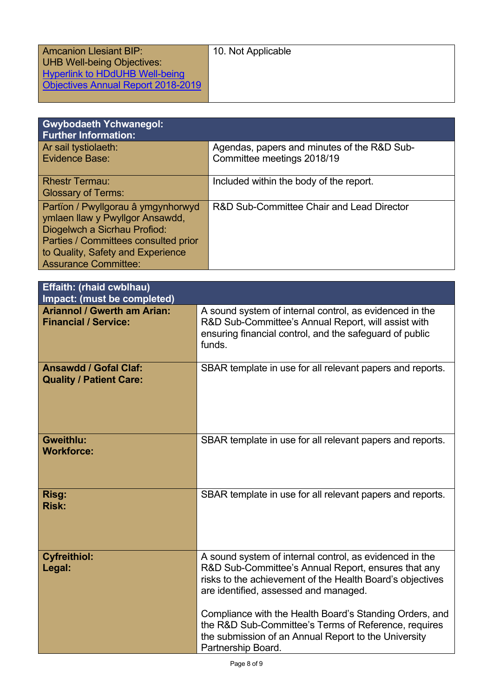| <b>Amcanion Llesiant BIP:</b>      | 10. Not Applicable |
|------------------------------------|--------------------|
| <b>UHB Well-being Objectives:</b>  |                    |
| Hyperlink to HDdUHB Well-being     |                    |
| Objectives Annual Report 2018-2019 |                    |
|                                    |                    |

| <b>Gwybodaeth Ychwanegol:</b><br><b>Further Information:</b>                                                                                                                                                      |                                                                           |
|-------------------------------------------------------------------------------------------------------------------------------------------------------------------------------------------------------------------|---------------------------------------------------------------------------|
| Ar sail tystiolaeth:<br>Evidence Base:                                                                                                                                                                            | Agendas, papers and minutes of the R&D Sub-<br>Committee meetings 2018/19 |
| <b>Rhestr Termau:</b><br><b>Glossary of Terms:</b>                                                                                                                                                                | Included within the body of the report.                                   |
| Partïon / Pwyllgorau â ymgynhorwyd<br>ymlaen llaw y Pwyllgor Ansawdd,<br>Diogelwch a Sicrhau Profiod:<br>Parties / Committees consulted prior<br>to Quality, Safety and Experience<br><b>Assurance Committee:</b> | R&D Sub-Committee Chair and Lead Director                                 |

| <b>Effaith: (rhaid cwblhau)</b><br>Impact: (must be completed)    |                                                                                                                                                                                                                      |
|-------------------------------------------------------------------|----------------------------------------------------------------------------------------------------------------------------------------------------------------------------------------------------------------------|
| <b>Ariannol / Gwerth am Arian:</b><br><b>Financial / Service:</b> | A sound system of internal control, as evidenced in the<br>R&D Sub-Committee's Annual Report, will assist with<br>ensuring financial control, and the safeguard of public<br>funds.                                  |
| <b>Ansawdd / Gofal Claf:</b><br><b>Quality / Patient Care:</b>    | SBAR template in use for all relevant papers and reports.                                                                                                                                                            |
| <b>Gweithlu:</b><br><b>Workforce:</b>                             | SBAR template in use for all relevant papers and reports.                                                                                                                                                            |
| Risg:<br><b>Risk:</b>                                             | SBAR template in use for all relevant papers and reports.                                                                                                                                                            |
| <b>Cyfreithiol:</b><br>Legal:                                     | A sound system of internal control, as evidenced in the<br>R&D Sub-Committee's Annual Report, ensures that any<br>risks to the achievement of the Health Board's objectives<br>are identified, assessed and managed. |
|                                                                   | Compliance with the Health Board's Standing Orders, and<br>the R&D Sub-Committee's Terms of Reference, requires<br>the submission of an Annual Report to the University<br>Partnership Board.                        |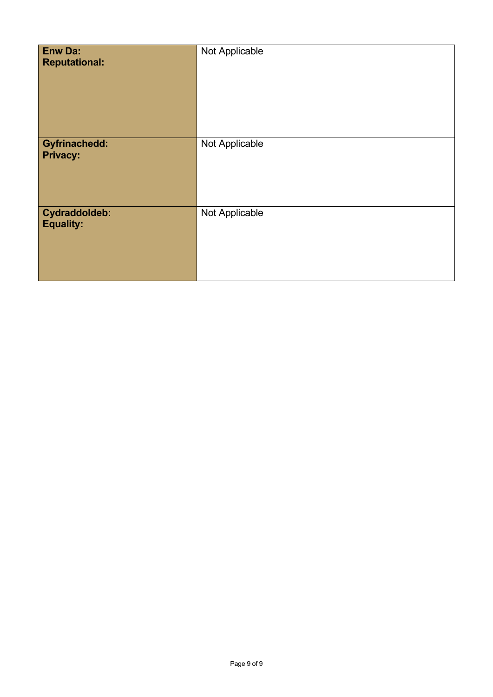| <b>Enw Da:</b><br><b>Reputational:</b>  | Not Applicable |
|-----------------------------------------|----------------|
| <b>Gyfrinachedd:</b><br><b>Privacy:</b> | Not Applicable |
| Cydraddoldeb:<br><b>Equality:</b>       | Not Applicable |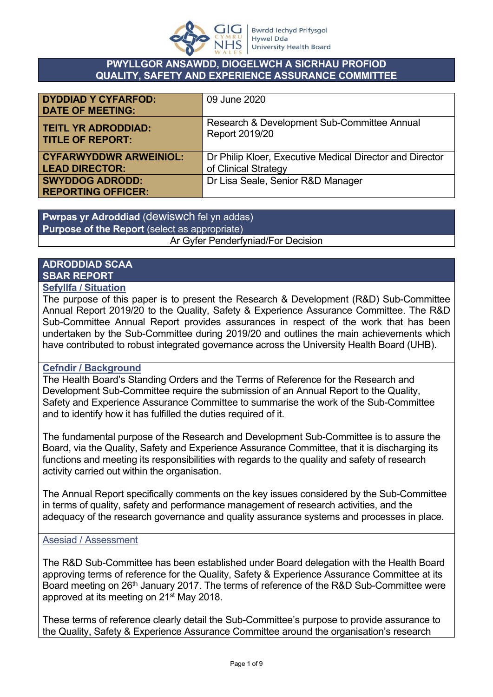

### **PWYLLGOR ANSAWDD, DIOGELWCH A SICRHAU PROFIOD QUALITY, SAFETY AND EXPERIENCE ASSURANCE COMMITTEE**

| <b>DYDDIAD Y CYFARFOD:</b><br><b>DATE OF MEETING:</b> | 09 June 2020                                             |
|-------------------------------------------------------|----------------------------------------------------------|
| <b>TEITL YR ADRODDIAD:</b>                            | Research & Development Sub-Committee Annual              |
| <b>TITLE OF REPORT:</b>                               | Report 2019/20                                           |
| <b>CYFARWYDDWR ARWEINIOL:</b>                         | Dr Philip Kloer, Executive Medical Director and Director |
| <b>LEAD DIRECTOR:</b>                                 | of Clinical Strategy                                     |
| <b>SWYDDOG ADRODD:</b><br><b>REPORTING OFFICER:</b>   | Dr Lisa Seale, Senior R&D Manager                        |

**Pwrpas yr Adroddiad** (dewiswch fel yn addas) **Purpose of the Report** (select as appropriate) Ar Gyfer Penderfyniad/For Decision

# **ADRODDIAD SCAA SBAR REPORT**

# **Sefyllfa / Situation**

The purpose of this paper is to present the Research & Development (R&D) Sub-Committee Annual Report 2019/20 to the Quality, Safety & Experience Assurance Committee. The R&D Sub-Committee Annual Report provides assurances in respect of the work that has been undertaken by the Sub-Committee during 2019/20 and outlines the main achievements which have contributed to robust integrated governance across the University Health Board (UHB).

### **Cefndir / Background**

The Health Board's Standing Orders and the Terms of Reference for the Research and Development Sub-Committee require the submission of an Annual Report to the Quality, Safety and Experience Assurance Committee to summarise the work of the Sub-Committee and to identify how it has fulfilled the duties required of it.

The fundamental purpose of the Research and Development Sub-Committee is to assure the Board, via the Quality, Safety and Experience Assurance Committee, that it is discharging its functions and meeting its responsibilities with regards to the quality and safety of research activity carried out within the organisation.

The Annual Report specifically comments on the key issues considered by the Sub-Committee in terms of quality, safety and performance management of research activities, and the adequacy of the research governance and quality assurance systems and processes in place.

### Asesiad / Assessment

The R&D Sub-Committee has been established under Board delegation with the Health Board approving terms of reference for the Quality, Safety & Experience Assurance Committee at its Board meeting on 26<sup>th</sup> January 2017. The terms of reference of the R&D Sub-Committee were approved at its meeting on 21st May 2018.

These terms of reference clearly detail the Sub-Committee's purpose to provide assurance to the Quality, Safety & Experience Assurance Committee around the organisation's research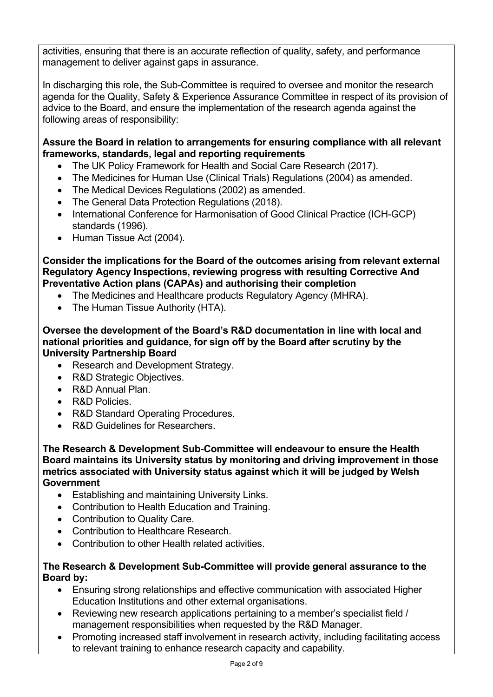activities, ensuring that there is an accurate reflection of quality, safety, and performance management to deliver against gaps in assurance.

In discharging this role, the Sub-Committee is required to oversee and monitor the research agenda for the Quality, Safety & Experience Assurance Committee in respect of its provision of advice to the Board, and ensure the implementation of the research agenda against the following areas of responsibility:

### **Assure the Board in relation to arrangements for ensuring compliance with all relevant frameworks, standards, legal and reporting requirements**

- The UK Policy Framework for Health and Social Care Research (2017).
- The Medicines for Human Use (Clinical Trials) Regulations (2004) as amended.
- The Medical Devices Regulations (2002) as amended.
- The General Data Protection Regulations (2018).
- International Conference for Harmonisation of Good Clinical Practice (ICH-GCP) standards (1996).
- Human Tissue Act (2004).

**Consider the implications for the Board of the outcomes arising from relevant external Regulatory Agency Inspections, reviewing progress with resulting Corrective And Preventative Action plans (CAPAs) and authorising their completion**

- The Medicines and Healthcare products Regulatory Agency (MHRA).
- The Human Tissue Authority (HTA).

**Oversee the development of the Board's R&D documentation in line with local and national priorities and guidance, for sign off by the Board after scrutiny by the University Partnership Board**

- Research and Development Strategy.
- R&D Strategic Objectives.
- R&D Annual Plan.
- R&D Policies
- R&D Standard Operating Procedures.
- R&D Guidelines for Researchers.

**The Research & Development Sub-Committee will endeavour to ensure the Health Board maintains its University status by monitoring and driving improvement in those metrics associated with University status against which it will be judged by Welsh Government**

- Establishing and maintaining University Links.
- Contribution to Health Education and Training.
- Contribution to Quality Care.
- Contribution to Healthcare Research.
- Contribution to other Health related activities.

### **The Research & Development Sub-Committee will provide general assurance to the Board by:**

- Ensuring strong relationships and effective communication with associated Higher Education Institutions and other external organisations.
- Reviewing new research applications pertaining to a member's specialist field / management responsibilities when requested by the R&D Manager.
- Promoting increased staff involvement in research activity, including facilitating access to relevant training to enhance research capacity and capability.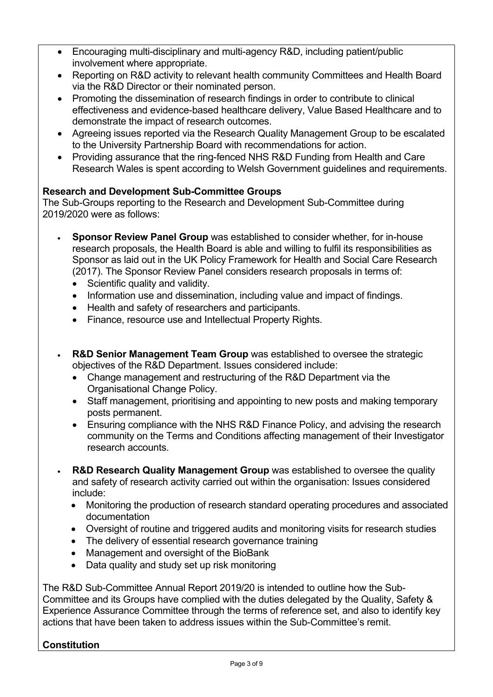- Encouraging multi-disciplinary and multi-agency R&D, including patient/public involvement where appropriate.
- Reporting on R&D activity to relevant health community Committees and Health Board via the R&D Director or their nominated person.
- Promoting the dissemination of research findings in order to contribute to clinical effectiveness and evidence-based healthcare delivery, Value Based Healthcare and to demonstrate the impact of research outcomes.
- Agreeing issues reported via the Research Quality Management Group to be escalated to the University Partnership Board with recommendations for action.
- Providing assurance that the ring-fenced NHS R&D Funding from Health and Care Research Wales is spent according to Welsh Government guidelines and requirements.

# **Research and Development Sub-Committee Groups**

The Sub-Groups reporting to the Research and Development Sub-Committee during 2019/2020 were as follows:

- **Sponsor Review Panel Group** was established to consider whether, for in-house research proposals, the Health Board is able and willing to fulfil its responsibilities as Sponsor as laid out in the UK Policy Framework for Health and Social Care Research (2017). The Sponsor Review Panel considers research proposals in terms of:
	- Scientific quality and validity.
	- Information use and dissemination, including value and impact of findings.
	- Health and safety of researchers and participants.
	- Finance, resource use and Intellectual Property Rights.
- **R&D Senior Management Team Group** was established to oversee the strategic objectives of the R&D Department. Issues considered include:
	- Change management and restructuring of the R&D Department via the Organisational Change Policy.
	- Staff management, prioritising and appointing to new posts and making temporary posts permanent.
	- Ensuring compliance with the NHS R&D Finance Policy, and advising the research community on the Terms and Conditions affecting management of their Investigator research accounts.
- **R&D Research Quality Management Group** was established to oversee the quality and safety of research activity carried out within the organisation: Issues considered include:
	- Monitoring the production of research standard operating procedures and associated documentation
	- Oversight of routine and triggered audits and monitoring visits for research studies
	- The delivery of essential research governance training
	- Management and oversight of the BioBank
	- Data quality and study set up risk monitoring

The R&D Sub-Committee Annual Report 2019/20 is intended to outline how the Sub-Committee and its Groups have complied with the duties delegated by the Quality, Safety & Experience Assurance Committee through the terms of reference set, and also to identify key actions that have been taken to address issues within the Sub-Committee's remit.

# **Constitution**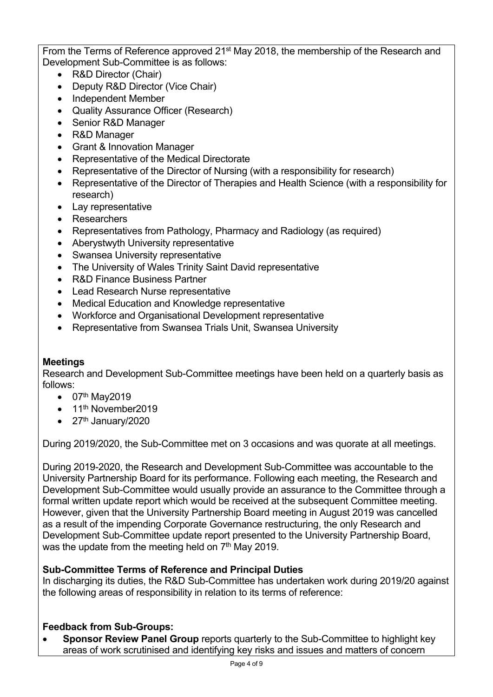From the Terms of Reference approved 21<sup>st</sup> May 2018, the membership of the Research and Development Sub-Committee is as follows:

- R&D Director (Chair)
- Deputy R&D Director (Vice Chair)
- Independent Member
- Quality Assurance Officer (Research)
- Senior R&D Manager
- R&D Manager
- Grant & Innovation Manager
- Representative of the Medical Directorate
- Representative of the Director of Nursing (with a responsibility for research)
- Representative of the Director of Therapies and Health Science (with a responsibility for research)
- Lay representative
- Researchers
- Representatives from Pathology, Pharmacy and Radiology (as required)
- Aberystwyth University representative
- Swansea University representative
- The University of Wales Trinity Saint David representative
- R&D Finance Business Partner
- Lead Research Nurse representative
- Medical Education and Knowledge representative
- Workforce and Organisational Development representative
- Representative from Swansea Trials Unit, Swansea University

# **Meetings**

Research and Development Sub-Committee meetings have been held on a quarterly basis as follows:

- $\bullet$  07<sup>th</sup> May2019
- $\bullet$  11<sup>th</sup> November2019
- $\bullet$  27<sup>th</sup> January/2020

During 2019/2020, the Sub-Committee met on 3 occasions and was quorate at all meetings.

During 2019-2020, the Research and Development Sub-Committee was accountable to the University Partnership Board for its performance. Following each meeting, the Research and Development Sub-Committee would usually provide an assurance to the Committee through a formal written update report which would be received at the subsequent Committee meeting. However, given that the University Partnership Board meeting in August 2019 was cancelled as a result of the impending Corporate Governance restructuring, the only Research and Development Sub-Committee update report presented to the University Partnership Board, was the update from the meeting held on  $7<sup>th</sup>$  May 2019.

# **Sub-Committee Terms of Reference and Principal Duties**

In discharging its duties, the R&D Sub-Committee has undertaken work during 2019/20 against the following areas of responsibility in relation to its terms of reference:

# **Feedback from Sub-Groups:**

 **Sponsor Review Panel Group** reports quarterly to the Sub-Committee to highlight key areas of work scrutinised and identifying key risks and issues and matters of concern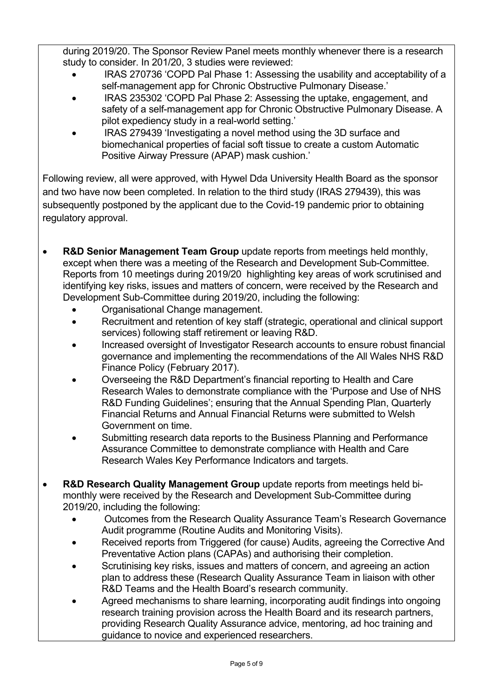during 2019/20. The Sponsor Review Panel meets monthly whenever there is a research study to consider. In 201/20, 3 studies were reviewed:

- IRAS 270736 'COPD Pal Phase 1: Assessing the usability and acceptability of a self-management app for Chronic Obstructive Pulmonary Disease.'
- IRAS 235302 'COPD Pal Phase 2: Assessing the uptake, engagement, and safety of a self-management app for Chronic Obstructive Pulmonary Disease. A pilot expediency study in a real-world setting.'
- IRAS 279439 'Investigating a novel method using the 3D surface and biomechanical properties of facial soft tissue to create a custom Automatic Positive Airway Pressure (APAP) mask cushion.'

Following review, all were approved, with Hywel Dda University Health Board as the sponsor and two have now been completed. In relation to the third study (IRAS 279439), this was subsequently postponed by the applicant due to the Covid-19 pandemic prior to obtaining regulatory approval.

- **R&D Senior Management Team Group** update reports from meetings held monthly, except when there was a meeting of the Research and Development Sub-Committee. Reports from 10 meetings during 2019/20 highlighting key areas of work scrutinised and identifying key risks, issues and matters of concern, were received by the Research and Development Sub-Committee during 2019/20, including the following:
	- Organisational Change management.
	- Recruitment and retention of key staff (strategic, operational and clinical support services) following staff retirement or leaving R&D.
	- Increased oversight of Investigator Research accounts to ensure robust financial governance and implementing the recommendations of the All Wales NHS R&D Finance Policy (February 2017).
	- Overseeing the R&D Department's financial reporting to Health and Care Research Wales to demonstrate compliance with the 'Purpose and Use of NHS R&D Funding Guidelines'; ensuring that the Annual Spending Plan, Quarterly Financial Returns and Annual Financial Returns were submitted to Welsh Government on time.
	- Submitting research data reports to the Business Planning and Performance Assurance Committee to demonstrate compliance with Health and Care Research Wales Key Performance Indicators and targets.
- **R&D Research Quality Management Group** update reports from meetings held bimonthly were received by the Research and Development Sub-Committee during 2019/20, including the following:
	- Outcomes from the Research Quality Assurance Team's Research Governance Audit programme (Routine Audits and Monitoring Visits).
	- Received reports from Triggered (for cause) Audits, agreeing the Corrective And Preventative Action plans (CAPAs) and authorising their completion.
	- Scrutinising key risks, issues and matters of concern, and agreeing an action plan to address these (Research Quality Assurance Team in liaison with other R&D Teams and the Health Board's research community.
	- Agreed mechanisms to share learning, incorporating audit findings into ongoing research training provision across the Health Board and its research partners, providing Research Quality Assurance advice, mentoring, ad hoc training and guidance to novice and experienced researchers.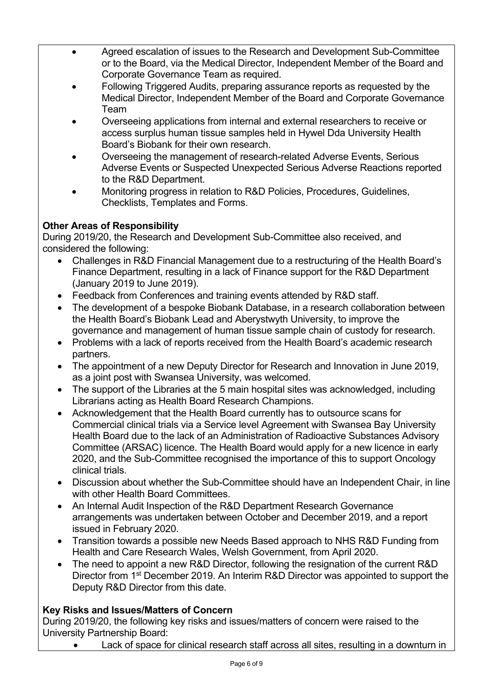- Agreed escalation of issues to the Research and Development Sub-Committee or to the Board, via the Medical Director, Independent Member of the Board and Corporate Governance Team as required.
- Following Triggered Audits, preparing assurance reports as requested by the Medical Director, Independent Member of the Board and Corporate Governance Team
- Overseeing applications from internal and external researchers to receive or access surplus human tissue samples held in Hywel Dda University Health Board's Biobank for their own research.
- Overseeing the management of research-related Adverse Events, Serious Adverse Events or Suspected Unexpected Serious Adverse Reactions reported to the R&D Department.
- Monitoring progress in relation to R&D Policies, Procedures, Guidelines, Checklists, Templates and Forms.

# **Other Areas of Responsibility**

During 2019/20, the Research and Development Sub-Committee also received, and considered the following:

- Challenges in R&D Financial Management due to a restructuring of the Health Board's Finance Department, resulting in a lack of Finance support for the R&D Department (January 2019 to June 2019).
- Feedback from Conferences and training events attended by R&D staff.
- The development of a bespoke Biobank Database, in a research collaboration between the Health Board's Biobank Lead and Aberystwyth University, to improve the governance and management of human tissue sample chain of custody for research.
- Problems with a lack of reports received from the Health Board's academic research partners.
- The appointment of a new Deputy Director for Research and Innovation in June 2019, as a joint post with Swansea University, was welcomed.
- The support of the Libraries at the 5 main hospital sites was acknowledged, including Librarians acting as Health Board Research Champions.
- Acknowledgement that the Health Board currently has to outsource scans for Commercial clinical trials via a Service level Agreement with Swansea Bay University Health Board due to the lack of an Administration of Radioactive Substances Advisory Committee (ARSAC) licence. The Health Board would apply for a new licence in early 2020, and the Sub-Committee recognised the importance of this to support Oncology clinical trials.
- Discussion about whether the Sub-Committee should have an Independent Chair, in line with other Health Board Committees.
- An Internal Audit Inspection of the R&D Department Research Governance arrangements was undertaken between October and December 2019, and a report issued in February 2020.
- Transition towards a possible new Needs Based approach to NHS R&D Funding from Health and Care Research Wales, Welsh Government, from April 2020.
- The need to appoint a new R&D Director, following the resignation of the current R&D Director from 1st December 2019. An Interim R&D Director was appointed to support the Deputy R&D Director from this date.

# **Key Risks and Issues/Matters of Concern**

During 2019/20, the following key risks and issues/matters of concern were raised to the University Partnership Board:

Lack of space for clinical research staff across all sites, resulting in a downturn in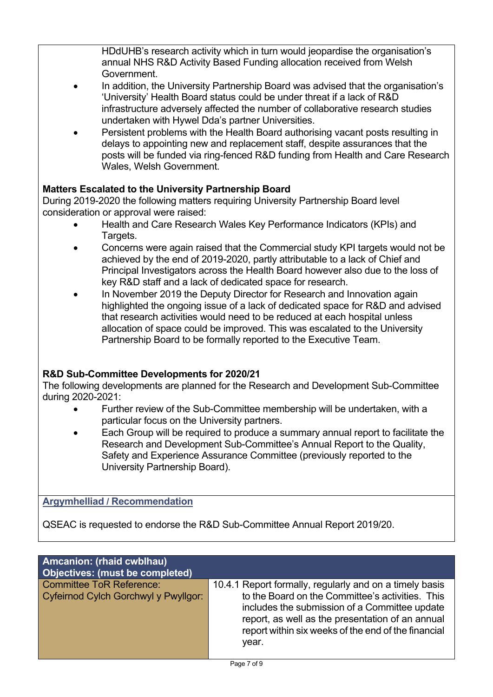HDdUHB's research activity which in turn would jeopardise the organisation's annual NHS R&D Activity Based Funding allocation received from Welsh Government.

- In addition, the University Partnership Board was advised that the organisation's 'University' Health Board status could be under threat if a lack of R&D infrastructure adversely affected the number of collaborative research studies undertaken with Hywel Dda's partner Universities.
- Persistent problems with the Health Board authorising vacant posts resulting in delays to appointing new and replacement staff, despite assurances that the posts will be funded via ring-fenced R&D funding from Health and Care Research Wales, Welsh Government.

# **Matters Escalated to the University Partnership Board**

During 2019-2020 the following matters requiring University Partnership Board level consideration or approval were raised:

- Health and Care Research Wales Key Performance Indicators (KPIs) and Targets.
- Concerns were again raised that the Commercial study KPI targets would not be achieved by the end of 2019-2020, partly attributable to a lack of Chief and Principal Investigators across the Health Board however also due to the loss of key R&D staff and a lack of dedicated space for research.
- In November 2019 the Deputy Director for Research and Innovation again highlighted the ongoing issue of a lack of dedicated space for R&D and advised that research activities would need to be reduced at each hospital unless allocation of space could be improved. This was escalated to the University Partnership Board to be formally reported to the Executive Team.

# **R&D Sub-Committee Developments for 2020/21**

The following developments are planned for the Research and Development Sub-Committee during 2020-2021:

- Further review of the Sub-Committee membership will be undertaken, with a particular focus on the University partners.
- Each Group will be required to produce a summary annual report to facilitate the Research and Development Sub-Committee's Annual Report to the Quality, Safety and Experience Assurance Committee (previously reported to the University Partnership Board).

# **Argymhelliad / Recommendation**

QSEAC is requested to endorse the R&D Sub-Committee Annual Report 2019/20.

| Amcanion: (rhaid cwblhau)<br><b>Objectives: (must be completed)</b>     |                                                                                                                                                                                                                                                                                  |
|-------------------------------------------------------------------------|----------------------------------------------------------------------------------------------------------------------------------------------------------------------------------------------------------------------------------------------------------------------------------|
| <b>Committee ToR Reference:</b><br>Cyfeirnod Cylch Gorchwyl y Pwyllgor: | 10.4.1 Report formally, regularly and on a timely basis<br>to the Board on the Committee's activities. This<br>includes the submission of a Committee update<br>report, as well as the presentation of an annual<br>report within six weeks of the end of the financial<br>year. |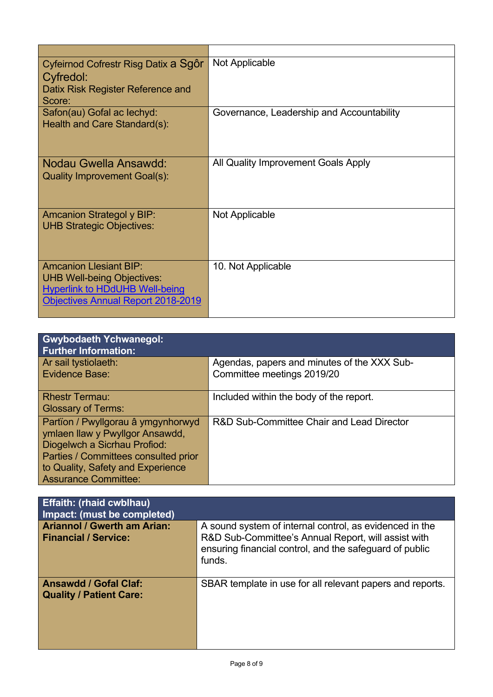| Cyfeirnod Cofrestr Risg Datix a Sgôr<br>Cyfredol:<br>Datix Risk Register Reference and<br>Score:                                                  | Not Applicable                            |
|---------------------------------------------------------------------------------------------------------------------------------------------------|-------------------------------------------|
| Safon(au) Gofal ac lechyd:<br>Health and Care Standard(s):                                                                                        | Governance, Leadership and Accountability |
| Nodau Gwella Ansawdd:<br><b>Quality Improvement Goal(s):</b>                                                                                      | All Quality Improvement Goals Apply       |
| <b>Amcanion Strategol y BIP:</b><br><b>UHB Strategic Objectives:</b>                                                                              | Not Applicable                            |
| <b>Amcanion Llesiant BIP:</b><br><b>UHB Well-being Objectives:</b><br><b>Hyperlink to HDdUHB Well-being</b><br>Objectives Annual Report 2018-2019 | 10. Not Applicable                        |

| <b>Gwybodaeth Ychwanegol:</b><br><b>Further Information:</b>                                                                                  |                                                                           |
|-----------------------------------------------------------------------------------------------------------------------------------------------|---------------------------------------------------------------------------|
| Ar sail tystiolaeth:<br><b>Evidence Base:</b>                                                                                                 | Agendas, papers and minutes of the XXX Sub-<br>Committee meetings 2019/20 |
|                                                                                                                                               |                                                                           |
| <b>Rhestr Termau:</b>                                                                                                                         | Included within the body of the report.                                   |
| <b>Glossary of Terms:</b>                                                                                                                     |                                                                           |
| Partïon / Pwyllgorau â ymgynhorwyd<br>ymlaen llaw y Pwyllgor Ansawdd,<br>Diogelwch a Sicrhau Profiod:<br>Parties / Committees consulted prior | R&D Sub-Committee Chair and Lead Director                                 |
| to Quality, Safety and Experience<br><b>Assurance Committee:</b>                                                                              |                                                                           |

| <b>Effaith: (rhaid cwblhau)</b><br>Impact: (must be completed)    |                                                                                                                                                                                     |
|-------------------------------------------------------------------|-------------------------------------------------------------------------------------------------------------------------------------------------------------------------------------|
| <b>Ariannol / Gwerth am Arian:</b><br><b>Financial / Service:</b> | A sound system of internal control, as evidenced in the<br>R&D Sub-Committee's Annual Report, will assist with<br>ensuring financial control, and the safeguard of public<br>funds. |
| <b>Ansawdd / Gofal Claf:</b><br><b>Quality / Patient Care:</b>    | SBAR template in use for all relevant papers and reports.                                                                                                                           |